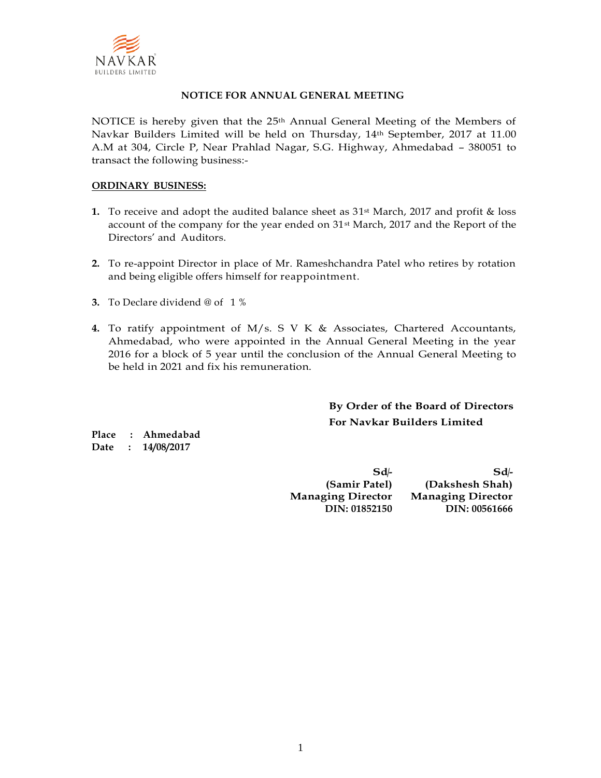

#### **NOTICE FOR ANNUAL GENERAL MEETING**

NOTICE is hereby given that the  $25<sup>th</sup>$  Annual General Meeting of the Members of Navkar Builders Limited will be held on Thursday, 14th September, 2017 at 11.00 A.M at 304, Circle P, Near Prahlad Nagar, S.G. Highway, Ahmedabad – 380051 to transact the following business:-

#### **ORDINARY BUSINESS:**

- **1.** To receive and adopt the audited balance sheet as  $31^{st}$  March, 2017 and profit & loss account of the company for the year ended on 31<sup>st</sup> March, 2017 and the Report of the Directors' and Auditors.
- **2.** To re-appoint Director in place of Mr. Rameshchandra Patel who retires by rotation and being eligible offers himself for reappointment.
- **3.** To Declare dividend @ of 1 %
- **4.** To ratify appointment of M/s. S V K & Associates, Chartered Accountants, Ahmedabad, who were appointed in the Annual General Meeting in the year 2016 for a block of 5 year until the conclusion of the Annual General Meeting to be held in 2021 and fix his remuneration.

**By Order of the Board of Directors For Navkar Builders Limited**

**Place : Ahmedabad Date : 14/08/2017**

> **Sd/- Sd/- (Samir Patel) (Dakshesh Shah) Managing Director Managing Director DIN: 01852150 DIN: 00561666**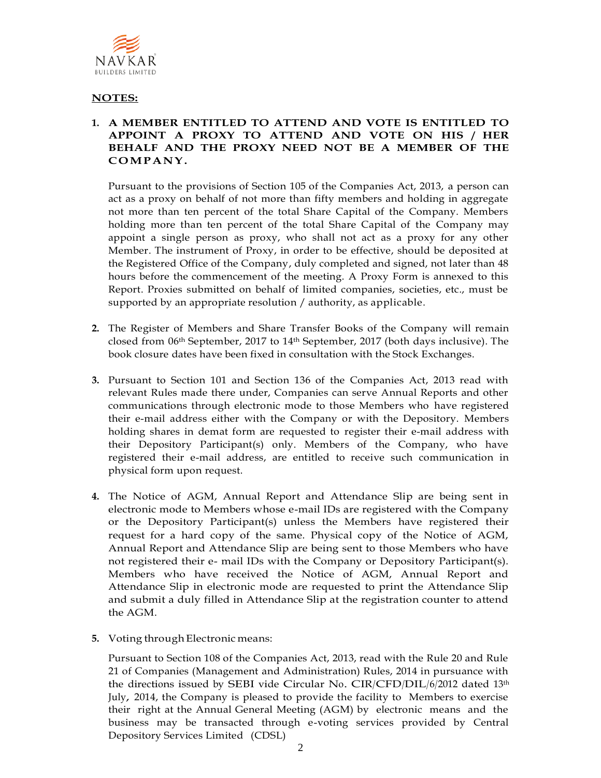

## **NOTES:**

#### **1. A MEMBER ENTITLED TO ATTEND AND VOTE IS ENTITLED TO APPOINT A PROXY TO ATTEND AND VOTE ON HIS / HER BEHALF AND THE PROXY NEED NOT BE A MEMBER OF THE CO MP A N Y.**

Pursuant to the provisions of Section 105 of the Companies Act, 2013, a person can act as a proxy on behalf of not more than fifty members and holding in aggregate not more than ten percent of the total Share Capital of the Company. Members holding more than ten percent of the total Share Capital of the Company may appoint a single person as proxy, who shall not act as a proxy for any other Member. The instrument of Proxy, in order to be effective, should be deposited at the Registered Office of the Company, duly completed and signed, not later than 48 hours before the commencement of the meeting. A Proxy Form is annexed to this Report. Proxies submitted on behalf of limited companies, societies, etc., must be supported by an appropriate resolution / authority, as applicable.

- **2.** The Register of Members and Share Transfer Books of the Company will remain closed from 06th September, 2017 to 14th September, 2017 (both days inclusive). The book closure dates have been fixed in consultation with the Stock Exchanges.
- **3.** Pursuant to Section 101 and Section 136 of the Companies Act, 2013 read with relevant Rules made there under, Companies can serve Annual Reports and other communications through electronic mode to those Members who have registered their e-mail address either with the Company or with the Depository. Members holding shares in demat form are requested to register their e-mail address with their Depository Participant(s) only. Members of the Company, who have registered their e-mail address, are entitled to receive such communication in physical form upon request.
- **4.** The Notice of AGM, Annual Report and Attendance Slip are being sent in electronic mode to Members whose e-mail IDs are registered with the Company or the Depository Participant(s) unless the Members have registered their request for a hard copy of the same. Physical copy of the Notice of AGM, Annual Report and Attendance Slip are being sent to those Members who have not registered their e- mail IDs with the Company or Depository Participant(s). Members who have received the Notice of AGM, Annual Report and Attendance Slip in electronic mode are requested to print the Attendance Slip and submit a duly filled in Attendance Slip at the registration counter to attend the AGM.
- **5.** Voting through Electronic means:

Pursuant to Section 108 of the Companies Act, 2013, read with the Rule 20 and Rule 21 of Companies (Management and Administration) Rules, 2014 in pursuance with the directions issued by SEBI vide Circular No. CIR/CFD/DIL/6/2012 dated 13<sup>th</sup> July, 2014, the Company is pleased to provide the facility to Members to exercise their right at the Annual General Meeting (AGM) by electronic means and the business may be transacted through e-voting services provided by Central Depository Services Limited (CDSL)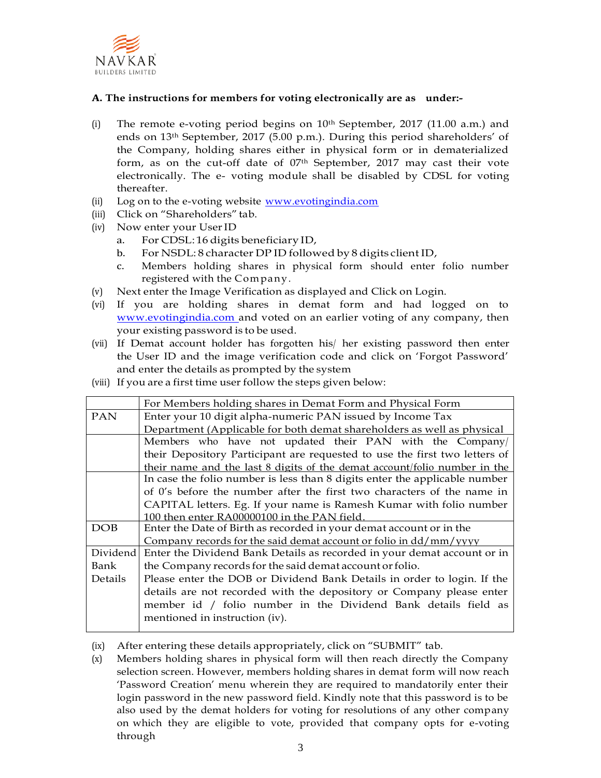

#### **A. The instructions for members for voting electronically are as under:-**

- (i) The remote e-voting period begins on  $10<sup>th</sup>$  September, 2017 (11.00 a.m.) and ends on 13th September, 2017 (5.00 p.m.). During this period shareholders' of the Company, holding shares either in physical form or in dematerialized form, as on the cut-off date of 07<sup>th</sup> September, 2017 may cast their vote electronically. The e- voting module shall be disabled by CDSL for voting thereafter.
- (ii) Log on to the e-voting website [www.evotingindia.com](http://www.evotingindia.com/)
- (iii) Click on "Shareholders" tab.
- (iv) Now enter your UserID
	- a. For CDSL: 16 digits beneficiary ID,
	- b. For NSDL: 8 character DP ID followed by 8 digits client ID,
	- c. Members holding shares in physical form should enter folio number registered with the Com pany.
- (v) Next enter the Image Verification as displayed and Click on Login.
- (vi) If you are holding shares in demat form and had logged on to [www.evotingindia.com a](http://www.evotingindia.com/)nd voted on an earlier voting of any company, then your existing password is to be used.
- (vii) If Demat account holder has forgotten his/ her existing password then enter the User ID and the image verification code and click on 'Forgot Password' and enter the details as prompted by the system
- (viii) If you are a first time user follow the steps given below:

|            | For Members holding shares in Demat Form and Physical Form                       |  |  |
|------------|----------------------------------------------------------------------------------|--|--|
| <b>PAN</b> | Enter your 10 digit alpha-numeric PAN issued by Income Tax                       |  |  |
|            | Department (Applicable for both demat shareholders as well as physical           |  |  |
|            | Members who have not updated their PAN with the Company/                         |  |  |
|            | their Depository Participant are requested to use the first two letters of       |  |  |
|            | their name and the last 8 digits of the demat account/folio number in the        |  |  |
|            | In case the folio number is less than 8 digits enter the applicable number       |  |  |
|            | of 0's before the number after the first two characters of the name in           |  |  |
|            | CAPITAL letters. Eg. If your name is Ramesh Kumar with folio number              |  |  |
|            | 100 then enter RA00000100 in the PAN field.                                      |  |  |
| <b>DOB</b> | Enter the Date of Birth as recorded in your demat account or in the              |  |  |
|            | Company records for the said demat account or folio in dd/mm/yyyy                |  |  |
|            | Dividend Enter the Dividend Bank Details as recorded in your demat account or in |  |  |
| Bank       | the Company records for the said demat account or folio.                         |  |  |
| Details    | Please enter the DOB or Dividend Bank Details in order to login. If the          |  |  |
|            | details are not recorded with the depository or Company please enter             |  |  |
|            | member id / folio number in the Dividend Bank details field as                   |  |  |
|            |                                                                                  |  |  |
|            | mentioned in instruction (iv).                                                   |  |  |

- (ix) After entering these details appropriately, click on "SUBMIT" tab.
- (x) Members holding shares in physical form will then reach directly the Company selection screen. However, members holding shares in demat form will now reach 'Password Creation' menu wherein they are required to mandatorily enter their login password in the new password field. Kindly note that this password is to be also used by the demat holders for voting for resolutions of any other company on which they are eligible to vote, provided that company opts for e-voting through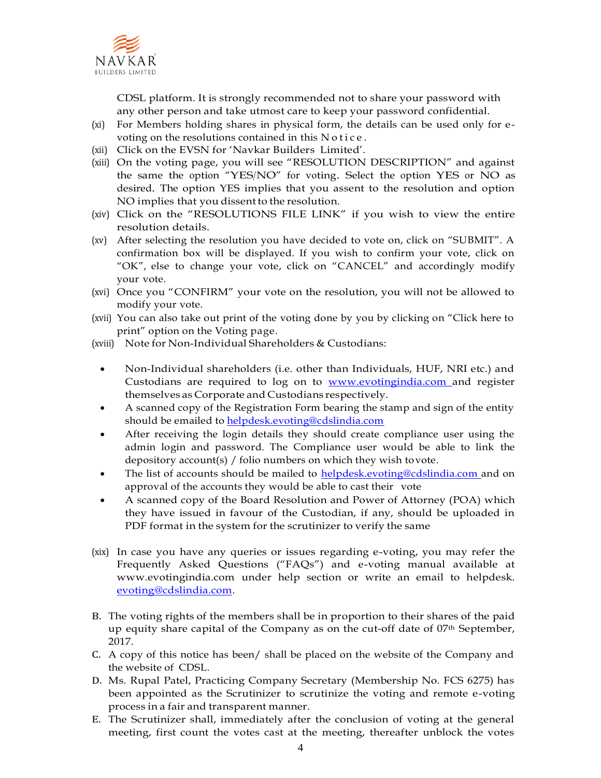

CDSL platform. It is strongly recommended not to share your password with any other person and take utmost care to keep your password confidential.

- (xi) For Members holding shares in physical form, the details can be used only for evoting on the resolutions contained in this N o tice.
- (xii) Click on the EVSN for 'Navkar Builders Limited'.
- (xiii) On the voting page, you will see "RESOLUTION DESCRIPTION" and against the same the option "YES/NO" for voting. Select the option YES or NO as desired. The option YES implies that you assent to the resolution and option NO implies that you dissent to the resolution.
- (xiv) Click on the "RESOLUTIONS FILE LINK" if you wish to view the entire resolution details.
- (xv) After selecting the resolution you have decided to vote on, click on "SUBMIT". A confirmation box will be displayed. If you wish to confirm your vote, click on "OK", else to change your vote, click on "CANCEL" and accordingly modify your vote.
- (xvi) Once you "CONFIRM" your vote on the resolution, you will not be allowed to modify your vote.
- (xvii) You can also take out print of the voting done by you by clicking on "Click here to print" option on the Voting page.
- (xviii) Note for Non-Individual Shareholders & Custodians:
	- Non-Individual shareholders (i.e. other than Individuals, HUF, NRI etc.) and Custodians are required to log on to **www.evotingindia.com** and register themselves as Corporate and Custodians respectively.
	- A scanned copy of the Registration Form bearing the stamp and sign of the entity should be emailed to [helpdesk.evoting@cdslindia.com](mailto:helpdesk.evoting@cdslindia.com)
	- After receiving the login details they should create compliance user using the admin login and password. The Compliance user would be able to link the depository account(s) / folio numbers on which they wish tovote.
	- The list of accounts should be mailed to [helpdesk.evoting@cdslindia.com a](mailto:helpdesk.evoting@cdslindia.com)nd on approval of the accounts they would be able to cast their vote
	- A scanned copy of the Board Resolution and Power of Attorney (POA) which they have issued in favour of the Custodian, if any, should be uploaded in PDF format in the system for the scrutinizer to verify the same
- (xix) In case you have any queries or issues regarding e-voting, you may refer the Frequently Asked Questions ("FAQs") and e-voting manual available at [www.evotingindia.com u](http://www.evotingindia.com/)nder help section or write an email to helpdesk. [evoting@cdslindia.com.](mailto:evoting@cdslindia.com)
- B. The voting rights of the members shall be in proportion to their shares of the paid up equity share capital of the Company as on the cut-off date of  $07<sup>th</sup>$  September, 2017.
- C. A copy of this notice has been/ shall be placed on the website of the Company and the website of CDSL.
- D. Ms. Rupal Patel, Practicing Company Secretary (Membership No. FCS 6275) has been appointed as the Scrutinizer to scrutinize the voting and remote e-voting process in a fair and transparent manner.
- E. The Scrutinizer shall, immediately after the conclusion of voting at the general meeting, first count the votes cast at the meeting, thereafter unblock the votes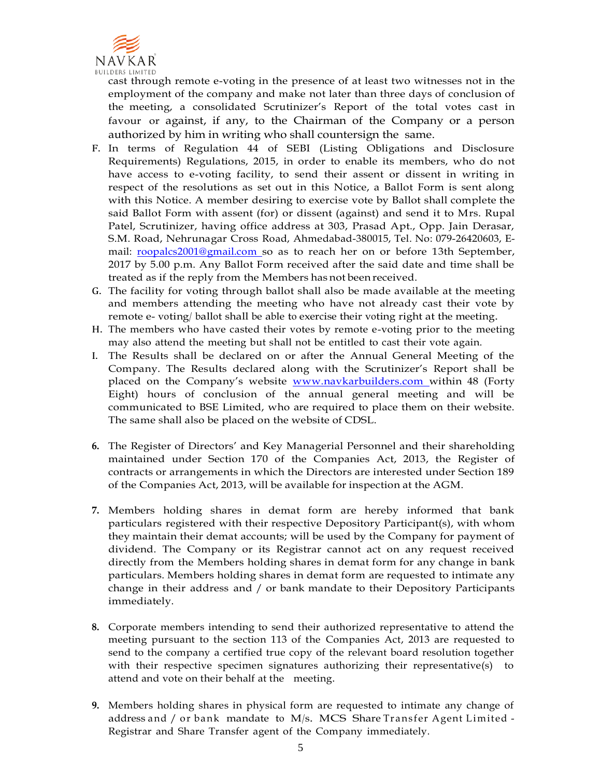

cast through remote e-voting in the presence of at least two witnesses not in the employment of the company and make not later than three days of conclusion of the meeting, a consolidated Scrutinizer's Report of the total votes cast in favour or against, if any, to the Chairman of the Company or a person authorized by him in writing who shall countersign the same.

- F. In terms of Regulation 44 of SEBI (Listing Obligations and Disclosure Requirements) Regulations, 2015, in order to enable its members, who do not have access to e-voting facility, to send their assent or dissent in writing in respect of the resolutions as set out in this Notice, a Ballot Form is sent along with this Notice. A member desiring to exercise vote by Ballot shall complete the said Ballot Form with assent (for) or dissent (against) and send it to Mrs. Rupal Patel, Scrutinizer, having office address at 303, Prasad Apt., Opp. Jain Derasar, S.M. Road, Nehrunagar Cross Road, Ahmedabad-380015, Tel. No: 079-26420603, Email: [roopalcs2001@gmail.com s](mailto:roopalcs2001@gmail.com)o as to reach her on or before 13th September, 2017 by 5.00 p.m. Any Ballot Form received after the said date and time shall be treated as if the reply from the Members has not been received.
- G. The facility for voting through ballot shall also be made available at the meeting and members attending the meeting who have not already cast their vote by remote e- voting/ ballot shall be able to exercise their voting right at the meeting.
- H. The members who have casted their votes by remote e-voting prior to the meeting may also attend the meeting but shall not be entitled to cast their vote again.
- I. The Results shall be declared on or after the Annual General Meeting of the Company. The Results declared along with the Scrutinizer's Report shall be placed on the Company's website **www.navkarbuilders.com** within 48 (Forty Eight) hours of conclusion of the annual general meeting and will be communicated to BSE Limited, who are required to place them on their website. The same shall also be placed on the website of CDSL.
- **6.** The Register of Directors' and Key Managerial Personnel and their shareholding maintained under Section 170 of the Companies Act, 2013, the Register of contracts or arrangements in which the Directors are interested under Section 189 of the Companies Act, 2013, will be available for inspection at the AGM.
- **7.** Members holding shares in demat form are hereby informed that bank particulars registered with their respective Depository Participant(s), with whom they maintain their demat accounts; will be used by the Company for payment of dividend. The Company or its Registrar cannot act on any request received directly from the Members holding shares in demat form for any change in bank particulars. Members holding shares in demat form are requested to intimate any change in their address and / or bank mandate to their Depository Participants immediately.
- **8.** Corporate members intending to send their authorized representative to attend the meeting pursuant to the section 113 of the Companies Act, 2013 are requested to send to the company a certified true copy of the relevant board resolution together with their respective specimen signatures authorizing their representative(s) to attend and vote on their behalf at the meeting.
- **9.** Members holding shares in physical form are requested to intimate any change of address and / or bank mandate to  $M/s$ . MCS Share Transfer Agent Limited -Registrar and Share Transfer agent of the Company immediately.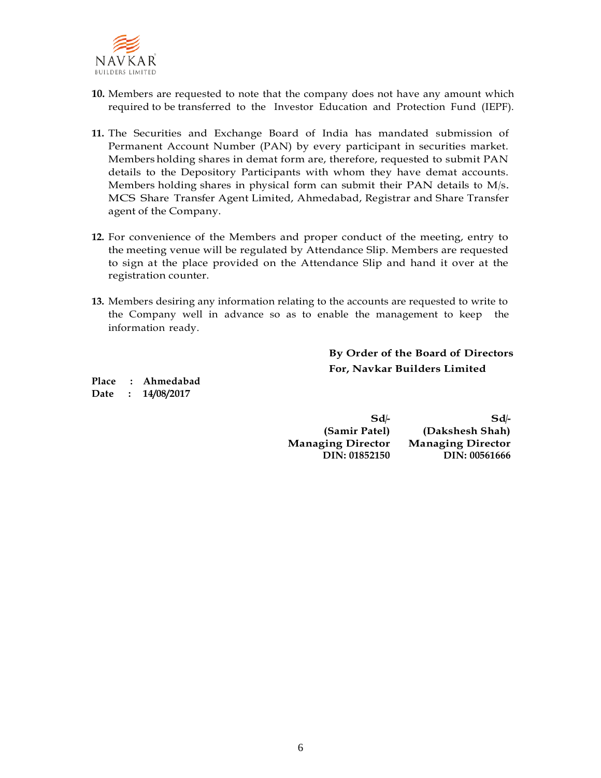

- **10.** Members are requested to note that the company does not have any amount which required to be transferred to the Investor Education and Protection Fund (IEPF).
- **11.** The Securities and Exchange Board of India has mandated submission of Permanent Account Number (PAN) by every participant in securities market. Members holding shares in demat form are, therefore, requested to submit PAN details to the Depository Participants with whom they have demat accounts. Members holding shares in physical form can submit their PAN details to M/s. MCS Share Transfer Agent Limited, Ahmedabad, Registrar and Share Transfer agent of the Company.
- **12.** For convenience of the Members and proper conduct of the meeting, entry to the meeting venue will be regulated by Attendance Slip. Members are requested to sign at the place provided on the Attendance Slip and hand it over at the registration counter.
- **13.** Members desiring any information relating to the accounts are requested to write to the Company well in advance so as to enable the management to keep the information ready.

## **By Order of the Board of Directors For, Navkar Builders Limited**

**Place : Ahmedabad Date : 14/08/2017**

> **Sd/- Sd/- (Samir Patel) (Dakshesh Shah) Managing Director Managing Director DIN: 01852150 DIN: 00561666**